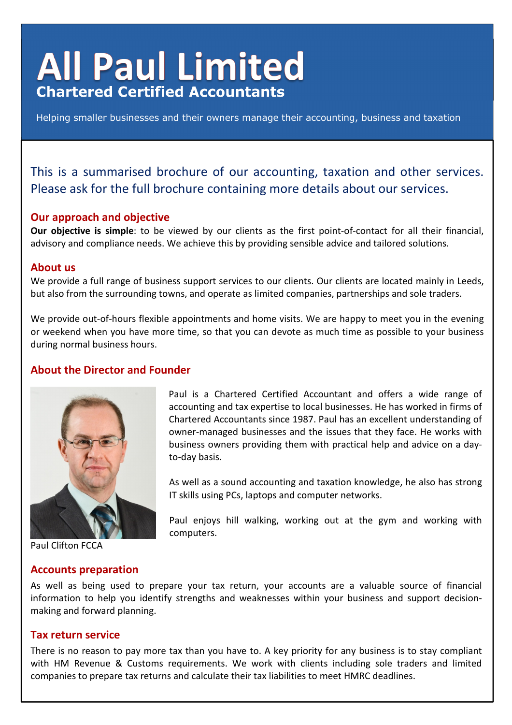# **All Paul Limited Chartered Certified Accountants**

Helping smaller businesses and their owners manage their accounting, business and taxation

## This is a summarised brochure of our accounting, taxation and other services. Please ask for the full brochure containing more details about our services.

#### **Our approach and objective**

**Our objective is simple**: to be viewed by our clients as the first point-of-contact for all their financial, advisory and compliance needs. We achieve this by providing sensible advice and tailored solutions.

#### **About us**

We provide a full range of business support services to our clients. Our clients are located mainly in Leeds, but also from the surrounding towns, and operate as limited companies, partnerships and sole traders.

We provide out-of-hours flexible appointments and home visits. We are happy to meet you in the evening or weekend when you have more time, so that you can devote as much time as possible to your business during normal business hours.

#### **About the Director and Founder**



Paul Clifton FCCA

**Accounts preparation** 

Paul is a Chartered Certified Accountant and offers a wide range of accounting and tax expertise to local businesses. He has worked in firms of Chartered Accountants since 1987. Paul has an excellent understanding of owner-managed businesses and the issues that they face. He works with business owners providing them with practical help and advice on a dayto-day basis.

As well as a sound accounting and taxation knowledge, he also has strong IT skills using PCs, laptops and computer networks.

Paul enjoys hill walking, working out at the gym and working with computers.

As well as being used to prepare your tax return, your accounts are a valuable source of financial information to help you identify strengths and weaknesses within your business and support decisionmaking and forward planning.

#### **Tax return service**

There is no reason to pay more tax than you have to. A key priority for any business is to stay compliant with HM Revenue & Customs requirements. We work with clients including sole traders and limited companies to prepare tax returns and calculate their tax liabilities to meet HMRC deadlines.